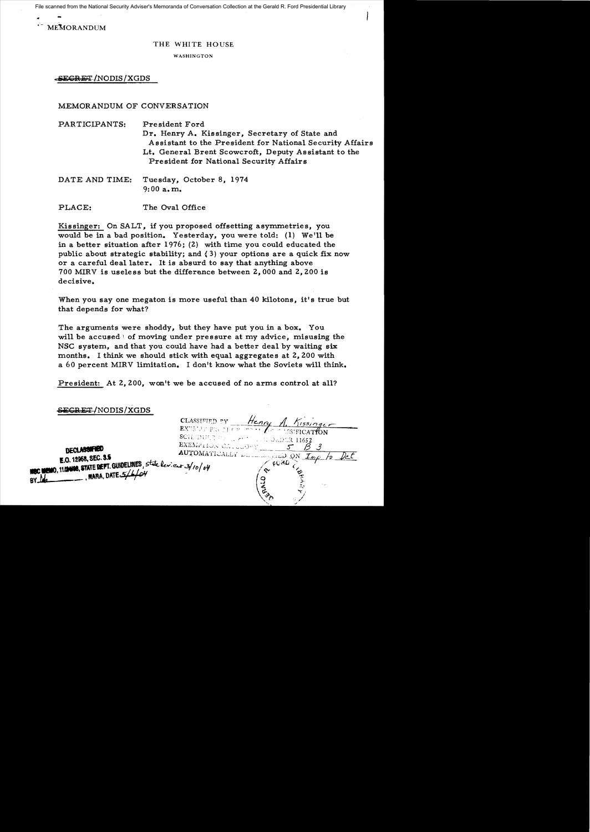File scanned from the National Security Adviser's Memoranda of Conversation Collection at the Gerald R. Ford Presidential Library

MEMORANDUM

### THE WHITE HOUSE

WASHINGTON

o:SEGRET~/NODIS /XGDS

## MEMORANDUM OF CONVERSATION

| PARTICIPANTS: | President Ford                                           |
|---------------|----------------------------------------------------------|
|               | Dr. Henry A. Kissinger, Secretary of State and           |
|               | Assistant to the President for National Security Affairs |
|               | Lt. General Brent Scowcroft, Deputy Assistant to the     |
|               | President for National Security Affairs                  |
|               |                                                          |

DATE AND TIME: Tuesday, October 8, 1974  $9:00$  a.m.

PLACE: The Oval Office

Kissinger: On SALT, if you proposed offsetting asymmetries, you would be in a bad position. Yesterday, you were told: (1) We'll be in a better situation after 1976; (2) with time you could educated the public about strategic stability; and {3) your options are a quick fix now or a careful deal later. It is absurd to say that anything above 700 MIRV is useless but the difference between 2,000 and 2,200 is decisive.

When you say one megaton is more useful than 40 kilotons, it's true but that depends for what?

The arguments were shoddy, but they have put you in a box. You will be accused of moving under pressure at my advice, misusing the NSC system, and that you could have had a better deal by waiting six months. I think we should stick with equal aggregates at 2,200 with a 60 percent MIRV limitation. I don't know what the Soviets will think.

President: At 2,200, won't we be accused of no arms control at all?

| SECRET/NODIS/XGDS                                                                                                                                   |                                                                                                                                                                                         |
|-----------------------------------------------------------------------------------------------------------------------------------------------------|-----------------------------------------------------------------------------------------------------------------------------------------------------------------------------------------|
| <b>DECLASSIFIED</b><br>E.O. 12958, SEC. 3.5<br>HOC MEMO, 11/2488, STATE DEPT. GUIDELINES, state levieur 3/10/04<br>MARA, DATE. 5/L/6V<br><b>BY_</b> | CLASSIFIED PV<br>Henry<br>$N$ 1531 $n$ qcr<br>EXUELED FIGURE TO DEAL APPROXIMATION<br>SCIEDULE CE LEST LUIS GEDER 11652<br>EXEMP110N CLL10N<br>AUTOMATICALLY DESCRIPTION ON IMP<br>FORD |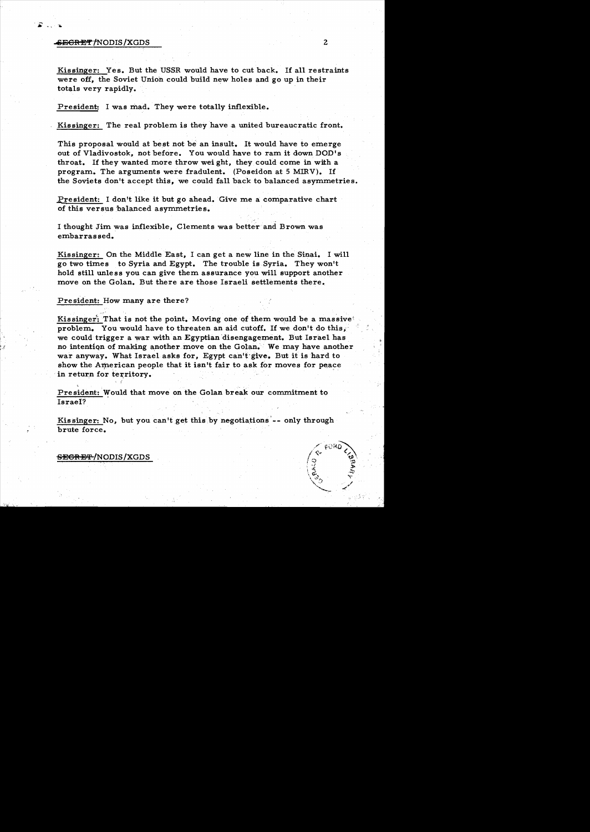## ..ECRET /NODIS /XGDS 2

Kissinger: Yes. But the USSR would have to cut back. If all restraints were off, the Soviet Union could build new holes and go up in their totals very rapidly.

President: I was mad. They were totally inflexible.

Kissinger: The real problem is they have a united bureaucratic front.

This proposal would at best not be an insult. It would have to emerge out of Vladivostok, not before. You would have to ram it down DOD's throat. If they wanted more throw weight, they could come in with a program. The arguments were fradulent. (Poseidon at 5 MIRV). If the Soviets don't accept this, we could fall back to balanced asymmetries.

President: I don't like it but go ahead. Give me a comparative chart of this versus balanced asymmetries.

I thought Jim was inflexible, Clements was better and Brown was embarrassed.

Kissinger: On the Middle East, I can get a new line in the Sinai. I will go two times to Syria and Egypt. The trouble is Syria. They won't hold still unless you can give them assurance you will support another move on the Golan. But there are those Israeli settlements there.

President: How many are there?

Kissinger: That is not the point. Moving one of them would be a massive! problem. You would have to threaten an aid cutoff. If we don't do this, we could trigger a war with an Egyptian disengagement. But Israel has no intention of making another move on the Golan. We may have another war anyway. What Israel asks for, Egypt can't-give. But it is hard to show the American people that it isn't fair to ask for moves for peace in return for territory.

President: Would that move on the Golan break our commitment to Israel?

Kis singer: No, but you can'tget this by negotiations'-- only through brute force.

SEGRET/NODIS/XGDS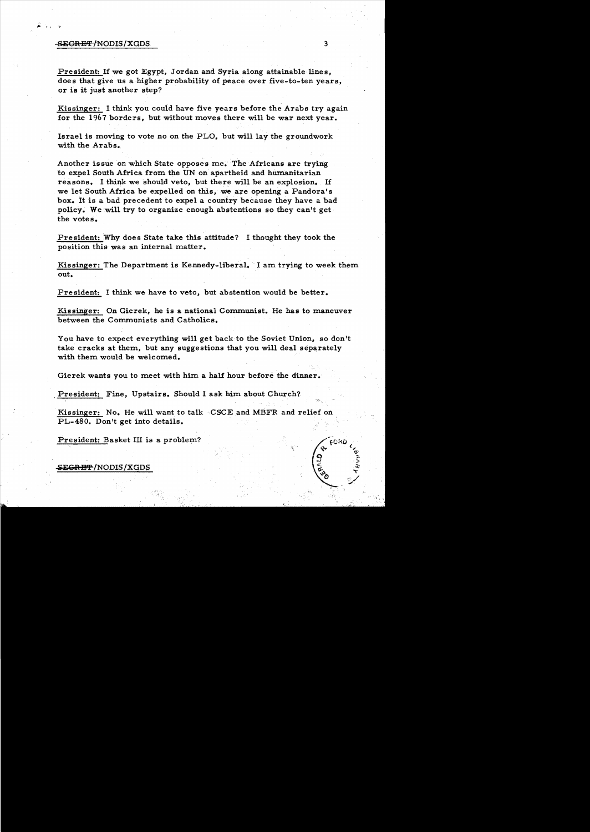#### SECRET /NODIS / XGDS 3

President: If we got Egypt, Jordan and Syria along attainable lines, does that give us a higher probability of peace over five-to-ten years, or is it just another step?

Kissinger: I think you could have five years before the Arabs try again for the 1967 borders, but without moves there will be war next year.

Israel is moving to vote no on the PLO, but will lay the groundwork with the Arabs.

Another issue on which State opposes me.' The Africans are trying to expel South Africa from the UN on apartheid and humanitarian reasons. I think we should veto, but there will be an explosion. If we let South Africa be expelled on this, we *are* opening a Pandora's box. It is a bad precedent to expel a country because they have a bad policy. We will try to organize enough abstentions so they can't get the votes.

President: Why does State take this attitude? I thought they took the position this was an internal matter.

Kissinger: The Department is Kennedy-liberal. I am trying to week them out.

President: I think we have to veto, but abstention would be better.

Kissinger: On Gierek, he is a national Communist. He has to maneuver between the Communists and Catholics.

You have to expect everything will get back to the Soviet Union, so don't take cracks at them, but any suggestions that you will deal separately with them would be welcomed.

Gierek wants you to meet with him a half hour before the dinner.

President: Fine, Upstairs. Should I ask him about Church?

Kissinger: No. He will want to talk CSCE and MBFR and relief on PL-480. Don't get into details.

President: Basket III is a problem?

S<del>ECRET</del> /NODIS /XGDS

."

**CHD**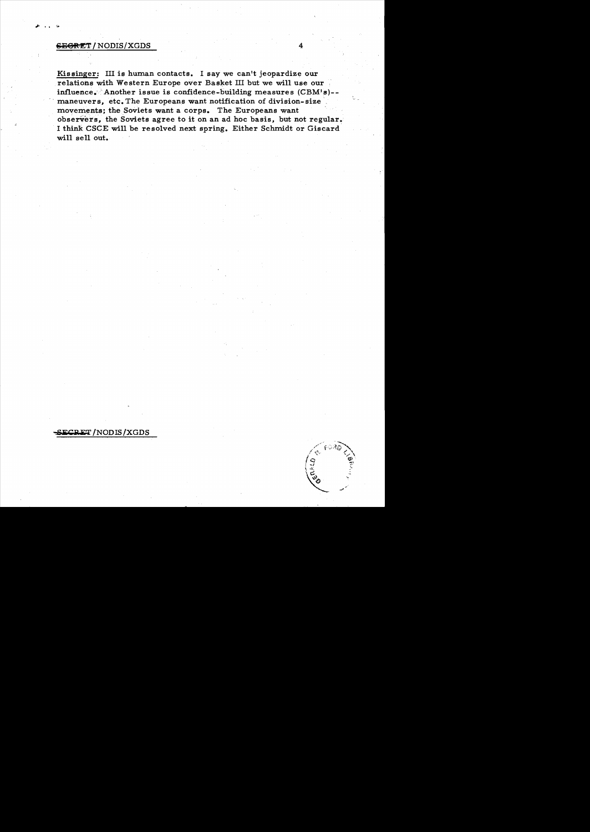# $E$ GEGRET / NODIS/XGDS

Kissinger: III is human contacts. I say we can't jeopardize our relations with Western Europe over Basket III but we will use our influence. Another issue is confidence-building measures (CBM's)-maneuvers, etc. The Europeans want notification of division-size movements; the Soviets want a corps. The Europeans want observers, the Soviets agree to it on an ad hoc basis, but not regular. I think CSCE will be resolved next spring. Either Schmidt or Giscard will sell out.

**SiiCBET** !NODIS!XGDS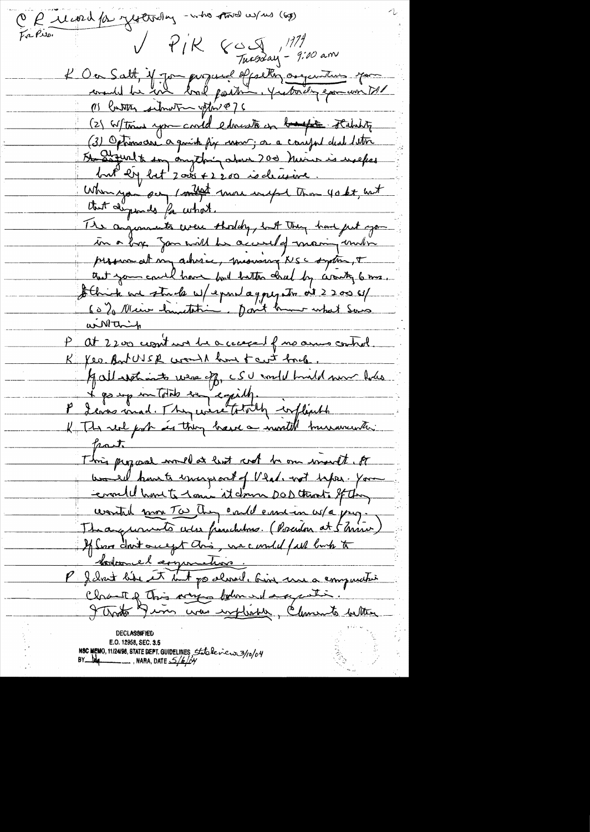CP 11 word for yesterday -who saved w/ws (6g)  $V$   $P/K$   $C \subseteq \mathbb{R}^{111}$ <br>Tuesday - 9:00 am L'Occ Salt, if Jon parquiel effecture augenture pour 115 Catter situation offinite) 6 (2) Witton you could educate on books stability (3) Optimorre a quick fix now, or a conefort deal lettre Autres de la marin de la moisie de la merinde When you say I might more import than you be, with that dispends for what. The anguments were shouldy, but they have just you in a box gan will be accured of maning under programation advice, meaning NSC system, + that you could have built bottom clearly to get a me. Athick we stude w/expert aggregate at 2200 6/ willthin P at 2200 commit was be a coassed of no among control. K Yea But USE would know to cut had If all set into reason of CSU would hinded more holes<br>I go up in total say equily.<br>I denne mad. They were totally inflict to  $\mu$ astr This program would at last cred be one would to would have to uniceps out of Veal. with takes. You comme have to 1 am it down DOD that's St thing wonted your Tw They evald emision w/a pay. Theorguments was freschetons. (Poserdon at 5 mins If Some don't once get an's, we candid fall burk to " bodome l'argumetion.<br>P J Init like et but pa almail, bion une a computation holandel experience. Chant of This way bolom where putin. That Jum was explished, Clements better

E.O. 12958, SEC. 3.5 NSC MEMO, 11/24/98, STATE DEPT. GUIDELINES, State levers 3/10/04<br>BY Long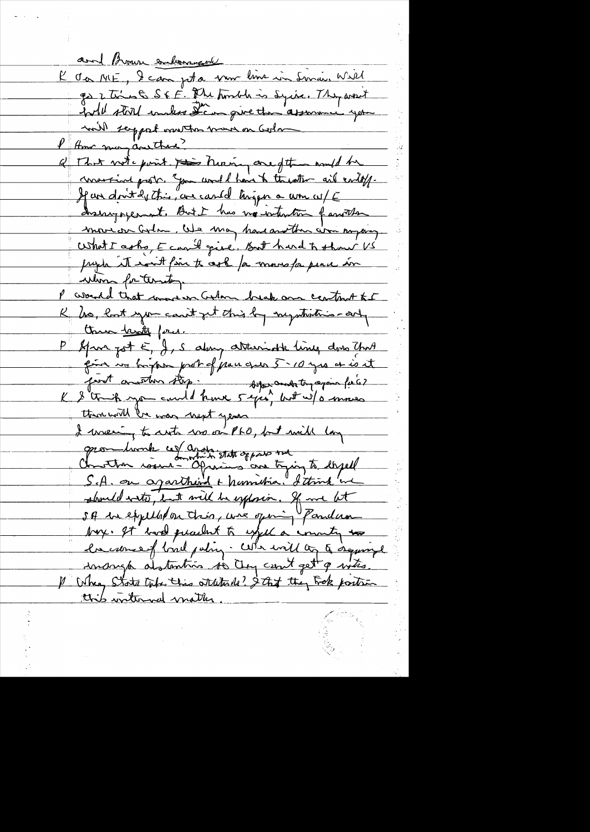and Brown enlarged K da ME, le campeta nom lime in Sinai, Will go 2 times S & F. Phe Amede is Syric, They went will store embers them give the assumer year will serppet want to more on Golm I Am may anether? Q That note point this nuring are of the would be concerting probe. "Jom would have to the atter and endoff. If an dont de this, are cased tingen a wom w/E drainy operant. But I has no intention familler movion arlan, We may have another won myong. What I asks, E can't give, But hard to show US prophe it won't fin to cept for more for peace in whom for territory P would that more in Colon break and control to K his lost you can't get this by mystritics-orty the family force. P Afron got E, J, S aboung attenuate lines dons That point vo bright probable proces 5.10 yes et is it port author stop." Warambitinapoin fiés then will be was next years I waling to cute we on PLO, but will long opon liverk ces avans state oppose today à develle should write, but will be explorin. If we let SA de expellation this, wie open "Pandam boy. It have placent to expel a county to la came of bird pating. When will as a seguingle unango alstantins so they can't get a who. 1 When State take this statute 12? Stat they troke position this writernal matter.